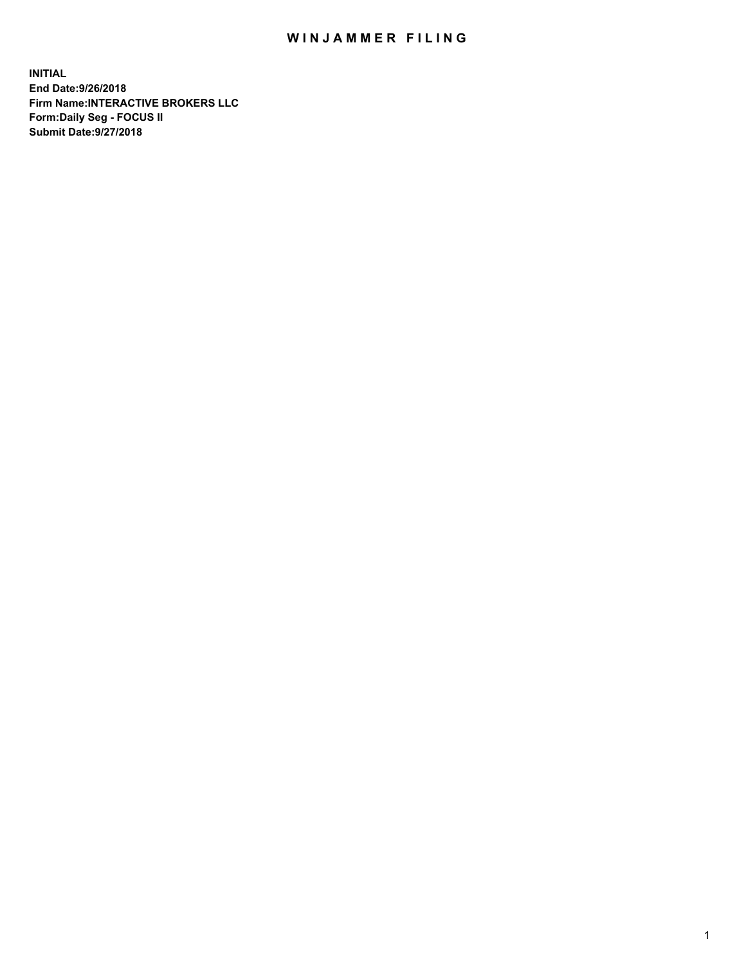## WIN JAMMER FILING

**INITIAL End Date:9/26/2018 Firm Name:INTERACTIVE BROKERS LLC Form:Daily Seg - FOCUS II Submit Date:9/27/2018**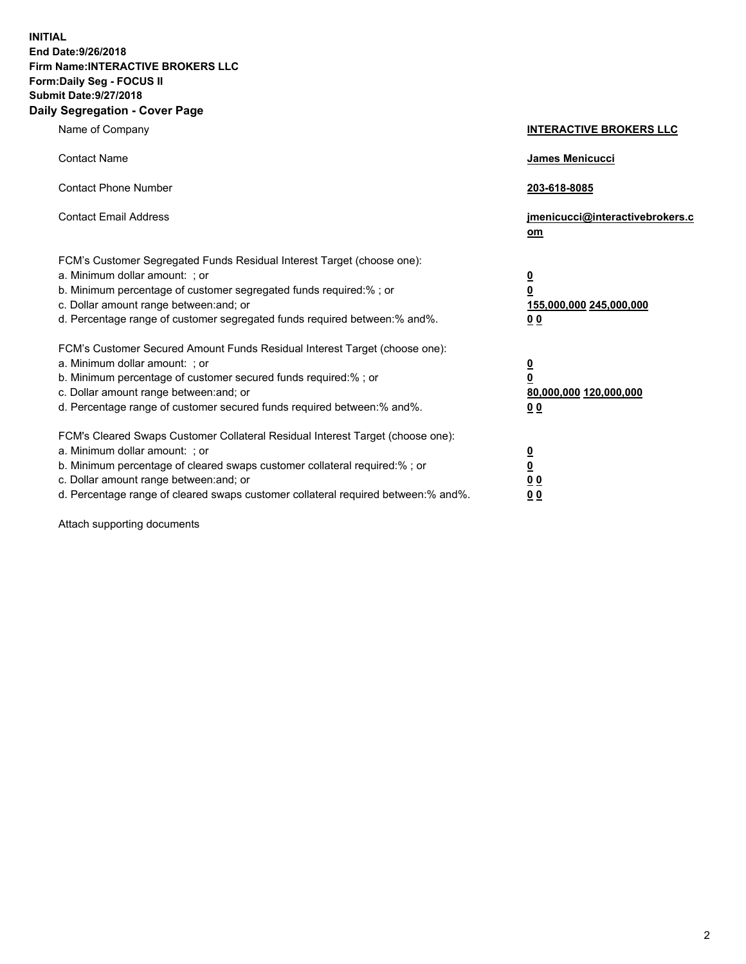**INITIAL End Date:9/26/2018 Firm Name:INTERACTIVE BROKERS LLC Form:Daily Seg - FOCUS II Submit Date:9/27/2018 Daily Segregation - Cover Page**

| Name of Company                                                                                                                                                                                                                                                                                                                | <b>INTERACTIVE BROKERS LLC</b>                                                   |
|--------------------------------------------------------------------------------------------------------------------------------------------------------------------------------------------------------------------------------------------------------------------------------------------------------------------------------|----------------------------------------------------------------------------------|
| <b>Contact Name</b>                                                                                                                                                                                                                                                                                                            | James Menicucci                                                                  |
| <b>Contact Phone Number</b>                                                                                                                                                                                                                                                                                                    | 203-618-8085                                                                     |
| <b>Contact Email Address</b>                                                                                                                                                                                                                                                                                                   | jmenicucci@interactivebrokers.c<br>om                                            |
| FCM's Customer Segregated Funds Residual Interest Target (choose one):<br>a. Minimum dollar amount: ; or<br>b. Minimum percentage of customer segregated funds required:% ; or<br>c. Dollar amount range between: and; or<br>d. Percentage range of customer segregated funds required between:% and%.                         | <u>0</u><br>$\overline{\mathbf{0}}$<br>155,000,000 245,000,000<br>0 <sub>0</sub> |
| FCM's Customer Secured Amount Funds Residual Interest Target (choose one):<br>a. Minimum dollar amount: ; or<br>b. Minimum percentage of customer secured funds required:% ; or<br>c. Dollar amount range between: and; or<br>d. Percentage range of customer secured funds required between:% and%.                           | <u>0</u><br>$\overline{\mathbf{0}}$<br>80,000,000 120,000,000<br>0 <sub>0</sub>  |
| FCM's Cleared Swaps Customer Collateral Residual Interest Target (choose one):<br>a. Minimum dollar amount: ; or<br>b. Minimum percentage of cleared swaps customer collateral required:% ; or<br>c. Dollar amount range between: and; or<br>d. Percentage range of cleared swaps customer collateral required between:% and%. | <u>0</u><br>$\underline{\mathbf{0}}$<br>0 <sub>0</sub><br>0 <sub>0</sub>         |

Attach supporting documents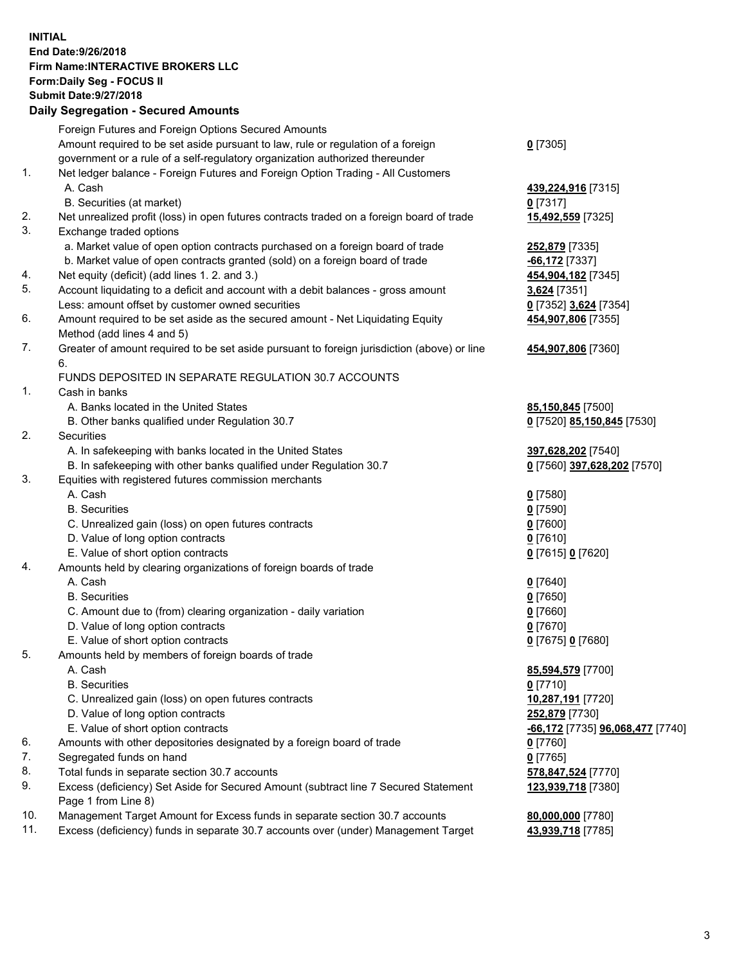## **INITIAL End Date:9/26/2018 Firm Name:INTERACTIVE BROKERS LLC Form:Daily Seg - FOCUS II Submit Date:9/27/2018 Daily Segregation - Secured Amounts**

|                | Dany Ocgregation - Oceaned Anioante                                                               |                                                      |
|----------------|---------------------------------------------------------------------------------------------------|------------------------------------------------------|
|                | Foreign Futures and Foreign Options Secured Amounts                                               |                                                      |
|                | Amount required to be set aside pursuant to law, rule or regulation of a foreign                  | $0$ [7305]                                           |
|                | government or a rule of a self-regulatory organization authorized thereunder                      |                                                      |
| 1.             | Net ledger balance - Foreign Futures and Foreign Option Trading - All Customers                   |                                                      |
|                | A. Cash                                                                                           | 439,224,916 [7315]                                   |
|                | B. Securities (at market)                                                                         | $0$ [7317]                                           |
| 2.             | Net unrealized profit (loss) in open futures contracts traded on a foreign board of trade         | 15,492,559 [7325]                                    |
| 3.             | Exchange traded options                                                                           |                                                      |
|                | a. Market value of open option contracts purchased on a foreign board of trade                    | 252,879 [7335]                                       |
|                | b. Market value of open contracts granted (sold) on a foreign board of trade                      | -66,172 [7337]                                       |
| 4.             | Net equity (deficit) (add lines 1.2. and 3.)                                                      | 454,904,182 [7345]                                   |
| 5.             | Account liquidating to a deficit and account with a debit balances - gross amount                 | 3,624 [7351]                                         |
|                | Less: amount offset by customer owned securities                                                  | 0 [7352] 3,624 [7354]                                |
| 6.             | Amount required to be set aside as the secured amount - Net Liquidating Equity                    | 454,907,806 [7355]                                   |
|                | Method (add lines 4 and 5)                                                                        |                                                      |
| 7.             | Greater of amount required to be set aside pursuant to foreign jurisdiction (above) or line<br>6. | 454,907,806 [7360]                                   |
|                | FUNDS DEPOSITED IN SEPARATE REGULATION 30.7 ACCOUNTS                                              |                                                      |
| $\mathbf{1}$ . | Cash in banks                                                                                     |                                                      |
|                | A. Banks located in the United States                                                             | 85,150,845 [7500]                                    |
|                | B. Other banks qualified under Regulation 30.7                                                    | 0 [7520] 85,150,845 [7530]                           |
| 2.             | Securities                                                                                        |                                                      |
|                | A. In safekeeping with banks located in the United States                                         | 397,628,202 [7540]                                   |
|                | B. In safekeeping with other banks qualified under Regulation 30.7                                | 0 [7560] 397,628,202 [7570]                          |
| 3.             | Equities with registered futures commission merchants                                             |                                                      |
|                | A. Cash                                                                                           | $0$ [7580]                                           |
|                | <b>B.</b> Securities                                                                              | $0$ [7590]                                           |
|                | C. Unrealized gain (loss) on open futures contracts                                               | $0$ [7600]                                           |
|                | D. Value of long option contracts                                                                 | $0$ [7610]                                           |
|                | E. Value of short option contracts                                                                | 0 [7615] 0 [7620]                                    |
| 4.             | Amounts held by clearing organizations of foreign boards of trade                                 |                                                      |
|                | A. Cash                                                                                           | $0$ [7640]                                           |
|                | <b>B.</b> Securities                                                                              | $0$ [7650]                                           |
|                | C. Amount due to (from) clearing organization - daily variation                                   | $0$ [7660]                                           |
|                | D. Value of long option contracts                                                                 | $0$ [7670]                                           |
|                | E. Value of short option contracts                                                                | 0 [7675] 0 [7680]                                    |
| 5.             | Amounts held by members of foreign boards of trade                                                |                                                      |
|                | A. Cash                                                                                           | 85,594,579 [7700]                                    |
|                | <b>B.</b> Securities                                                                              | $0$ [7710]                                           |
|                | C. Unrealized gain (loss) on open futures contracts                                               | 10,287,191 [7720]                                    |
|                | D. Value of long option contracts                                                                 | 252,879 [7730]                                       |
|                | E. Value of short option contracts                                                                | <mark>-66,172</mark> [7735] <b>96,068,477</b> [7740] |
| 6.             | Amounts with other depositories designated by a foreign board of trade                            | 0 [7760]                                             |
| 7.             | Segregated funds on hand                                                                          | $0$ [7765]                                           |
| 8.             | Total funds in separate section 30.7 accounts                                                     | 578,847,524 [7770]                                   |
| 9.             | Excess (deficiency) Set Aside for Secured Amount (subtract line 7 Secured Statement               | 123,939,718 [7380]                                   |
|                | Page 1 from Line 8)                                                                               |                                                      |
| 10.            | Management Target Amount for Excess funds in separate section 30.7 accounts                       | 80,000,000 [7780]                                    |
| 11.            | Excess (deficiency) funds in separate 30.7 accounts over (under) Management Target                | 43,939,718 [7785]                                    |
|                |                                                                                                   |                                                      |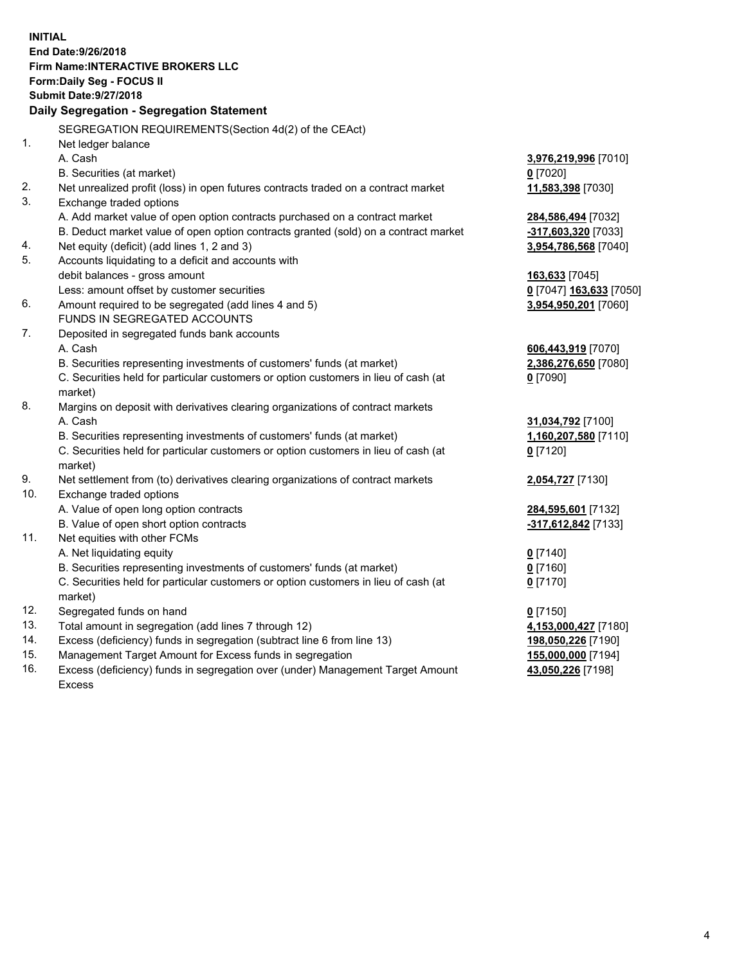**INITIAL End Date:9/26/2018 Firm Name:INTERACTIVE BROKERS LLC Form:Daily Seg - FOCUS II Submit Date:9/27/2018 Daily Segregation - Segregation Statement** SEGREGATION REQUIREMENTS(Section 4d(2) of the CEAct) 1. Net ledger balance A. Cash **3,976,219,996** [7010] B. Securities (at market) **0** [7020] 2. Net unrealized profit (loss) in open futures contracts traded on a contract market **11,583,398** [7030] 3. Exchange traded options A. Add market value of open option contracts purchased on a contract market **284,586,494** [7032] B. Deduct market value of open option contracts granted (sold) on a contract market **-317,603,320** [7033] 4. Net equity (deficit) (add lines 1, 2 and 3) **3,954,786,568** [7040] 5. Accounts liquidating to a deficit and accounts with debit balances - gross amount **163,633** [7045] Less: amount offset by customer securities **0** [7047] **163,633** [7050] 6. Amount required to be segregated (add lines 4 and 5) **3,954,950,201** [7060] FUNDS IN SEGREGATED ACCOUNTS 7. Deposited in segregated funds bank accounts A. Cash **606,443,919** [7070] B. Securities representing investments of customers' funds (at market) **2,386,276,650** [7080] C. Securities held for particular customers or option customers in lieu of cash (at market) **0** [7090] 8. Margins on deposit with derivatives clearing organizations of contract markets A. Cash **31,034,792** [7100] B. Securities representing investments of customers' funds (at market) **1,160,207,580** [7110] C. Securities held for particular customers or option customers in lieu of cash (at market) **0** [7120] 9. Net settlement from (to) derivatives clearing organizations of contract markets **2,054,727** [7130] 10. Exchange traded options A. Value of open long option contracts **284,595,601** [7132] B. Value of open short option contracts **-317,612,842** [7133] 11. Net equities with other FCMs A. Net liquidating equity **0** [7140] B. Securities representing investments of customers' funds (at market) **0** [7160] C. Securities held for particular customers or option customers in lieu of cash (at market) **0** [7170] 12. Segregated funds on hand **0** [7150] 13. Total amount in segregation (add lines 7 through 12) **4,153,000,427** [7180] 14. Excess (deficiency) funds in segregation (subtract line 6 from line 13) **198,050,226** [7190] 15. Management Target Amount for Excess funds in segregation **155,000,000** [7194]

16. Excess (deficiency) funds in segregation over (under) Management Target Amount Excess

**43,050,226** [7198]